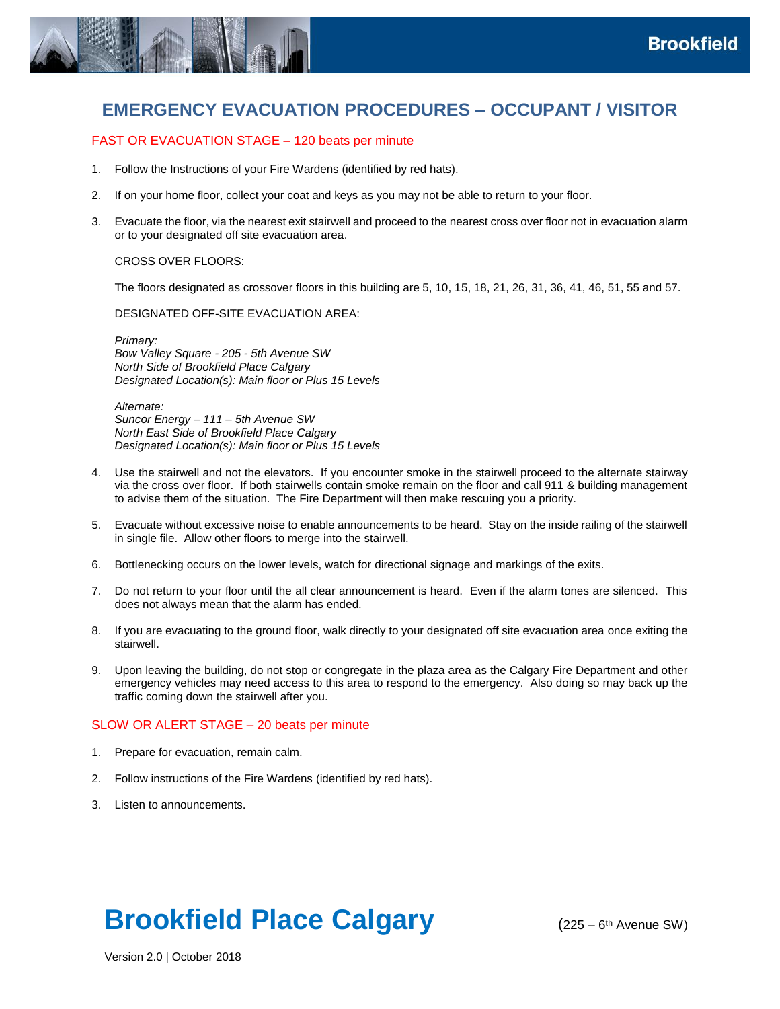

# **EMERGENCY EVACUATION PROCEDURES – OCCUPANT / VISITOR**

# FAST OR EVACUATION STAGE – 120 beats per minute

- 1. Follow the Instructions of your Fire Wardens (identified by red hats).
- 2. If on your home floor, collect your coat and keys as you may not be able to return to your floor.
- 3. Evacuate the floor, via the nearest exit stairwell and proceed to the nearest cross over floor not in evacuation alarm or to your designated off site evacuation area.

#### CROSS OVER FLOORS:

The floors designated as crossover floors in this building are 5, 10, 15, 18, 21, 26, 31, 36, 41, 46, 51, 55 and 57.

#### DESIGNATED OFF-SITE EVACUATION AREA:

*Primary: Bow Valley Square - 205 - 5th Avenue SW North Side of Brookfield Place Calgary Designated Location(s): Main floor or Plus 15 Levels* 

*Alternate: Suncor Energy – 111 – 5th Avenue SW North East Side of Brookfield Place Calgary Designated Location(s): Main floor or Plus 15 Levels* 

- 4. Use the stairwell and not the elevators. If you encounter smoke in the stairwell proceed to the alternate stairway via the cross over floor. If both stairwells contain smoke remain on the floor and call 911 & building management to advise them of the situation. The Fire Department will then make rescuing you a priority.
- 5. Evacuate without excessive noise to enable announcements to be heard. Stay on the inside railing of the stairwell in single file. Allow other floors to merge into the stairwell.
- 6. Bottlenecking occurs on the lower levels, watch for directional signage and markings of the exits.
- 7. Do not return to your floor until the all clear announcement is heard. Even if the alarm tones are silenced. This does not always mean that the alarm has ended.
- 8. If you are evacuating to the ground floor, walk directly to your designated off site evacuation area once exiting the stairwell.
- 9. Upon leaving the building, do not stop or congregate in the plaza area as the Calgary Fire Department and other emergency vehicles may need access to this area to respond to the emergency. Also doing so may back up the traffic coming down the stairwell after you.

### SLOW OR ALERT STAGE – 20 beats per minute

- 1. Prepare for evacuation, remain calm.
- 2. Follow instructions of the Fire Wardens (identified by red hats).
- 3. Listen to announcements.

# **Brookfield Place Calgary**

 $(225 - 6<sup>th</sup>$  Avenue SW)

Version 2.0 | October 2018